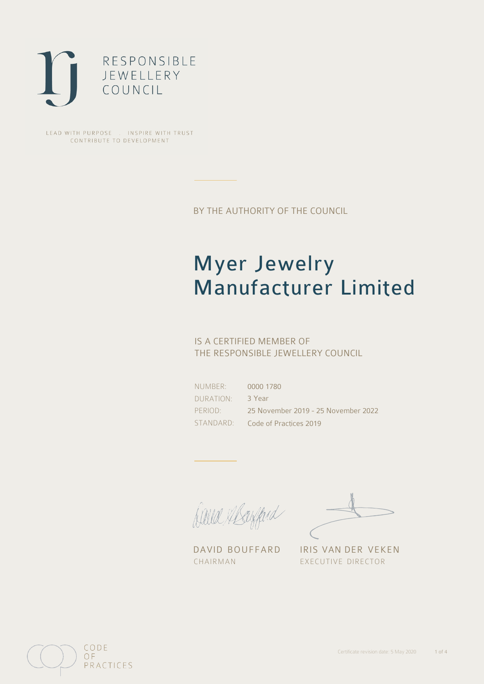

LEAD WITH PURPOSE . INSPIRE WITH TRUST CONTRIBUTE TO DEVELOPMENT

BY THE AUTHORITY OF THE COUNCIL

# Myer Jewelry Manufacturer Limited

## IS A CERTIFIED MEMBER OF THE RESPONSIBLE JEWELLERY COUNCIL

NUMBER: DURATION: PERIOD:

STANDARD: Code of Practices 2019 0000 1780 3 Year 25 November 2019 - 25 November 2022

Balla Shayfard

CHAIRMAN EXECUTIVE DIRECTOR

DAVID BOUFFARD IRIS VAN DER VEKEN

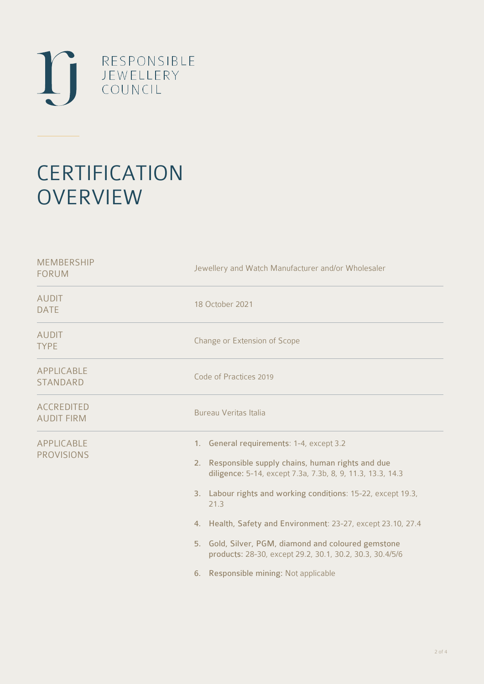

# **CERTIFICATION OVERVIEW**

| Jewellery and Watch Manufacturer and/or Wholesaler                                                                                                                                                                                                                                                                                                                                                                                                                     |
|------------------------------------------------------------------------------------------------------------------------------------------------------------------------------------------------------------------------------------------------------------------------------------------------------------------------------------------------------------------------------------------------------------------------------------------------------------------------|
| 18 October 2021                                                                                                                                                                                                                                                                                                                                                                                                                                                        |
| Change or Extension of Scope                                                                                                                                                                                                                                                                                                                                                                                                                                           |
| Code of Practices 2019                                                                                                                                                                                                                                                                                                                                                                                                                                                 |
| Bureau Veritas Italia                                                                                                                                                                                                                                                                                                                                                                                                                                                  |
| 1. General requirements: 1-4, except 3.2<br>Responsible supply chains, human rights and due<br>2.<br>diligence: 5-14, except 7.3a, 7.3b, 8, 9, 11.3, 13.3, 14.3<br>3. Labour rights and working conditions: 15-22, except 19.3,<br>21.3<br>4. Health, Safety and Environment: 23-27, except 23.10, 27.4<br>5. Gold, Silver, PGM, diamond and coloured gemstone<br>products: 28-30, except 29.2, 30.1, 30.2, 30.3, 30.4/5/6<br>Responsible mining: Not applicable<br>6. |
|                                                                                                                                                                                                                                                                                                                                                                                                                                                                        |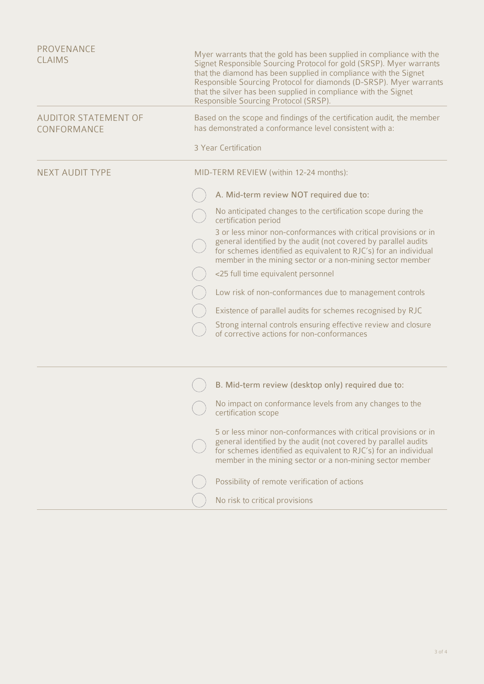| PROVENANCE<br><b>CLAIMS</b>                | Myer warrants that the gold has been supplied in compliance with the<br>Signet Responsible Sourcing Protocol for gold (SRSP). Myer warrants<br>that the diamond has been supplied in compliance with the Signet<br>Responsible Sourcing Protocol for diamonds (D-SRSP). Myer warrants<br>that the silver has been supplied in compliance with the Signet<br>Responsible Sourcing Protocol (SRSP). |
|--------------------------------------------|---------------------------------------------------------------------------------------------------------------------------------------------------------------------------------------------------------------------------------------------------------------------------------------------------------------------------------------------------------------------------------------------------|
| <b>AUDITOR STATEMENT OF</b><br>CONFORMANCE | Based on the scope and findings of the certification audit, the member<br>has demonstrated a conformance level consistent with a:                                                                                                                                                                                                                                                                 |
|                                            | 3 Year Certification                                                                                                                                                                                                                                                                                                                                                                              |
| <b>NEXT AUDIT TYPE</b>                     | MID-TERM REVIEW (within 12-24 months):                                                                                                                                                                                                                                                                                                                                                            |
|                                            | A. Mid-term review NOT required due to:                                                                                                                                                                                                                                                                                                                                                           |
|                                            | No anticipated changes to the certification scope during the<br>certification period                                                                                                                                                                                                                                                                                                              |
|                                            | 3 or less minor non-conformances with critical provisions or in<br>general identified by the audit (not covered by parallel audits<br>for schemes identified as equivalent to RJC's) for an individual<br>member in the mining sector or a non-mining sector member                                                                                                                               |
|                                            | <25 full time equivalent personnel                                                                                                                                                                                                                                                                                                                                                                |
|                                            | Low risk of non-conformances due to management controls                                                                                                                                                                                                                                                                                                                                           |
|                                            | Existence of parallel audits for schemes recognised by RJC                                                                                                                                                                                                                                                                                                                                        |
|                                            | Strong internal controls ensuring effective review and closure<br>of corrective actions for non-conformances                                                                                                                                                                                                                                                                                      |
|                                            | B. Mid-term review (desktop only) required due to:                                                                                                                                                                                                                                                                                                                                                |
|                                            | No impact on conformance levels from any changes to the<br>certification scope                                                                                                                                                                                                                                                                                                                    |
|                                            | 5 or less minor non-conformances with critical provisions or in<br>general identified by the audit (not covered by parallel audits<br>for schemes identified as equivalent to RJC's) for an individual<br>member in the mining sector or a non-mining sector member                                                                                                                               |
|                                            | Possibility of remote verification of actions                                                                                                                                                                                                                                                                                                                                                     |
|                                            | No risk to critical provisions                                                                                                                                                                                                                                                                                                                                                                    |